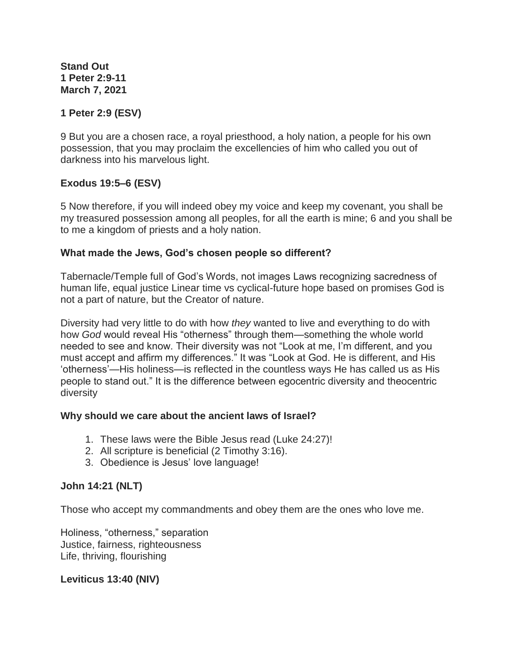**Stand Out 1 Peter 2:9-11 March 7, 2021**

## **1 Peter 2:9 (ESV)**

9 But you are a chosen race, a royal priesthood, a holy nation, a people for his own possession, that you may proclaim the excellencies of him who called you out of darkness into his marvelous light.

### **Exodus 19:5–6 (ESV)**

5 Now therefore, if you will indeed obey my voice and keep my covenant, you shall be my treasured possession among all peoples, for all the earth is mine; 6 and you shall be to me a kingdom of priests and a holy nation.

#### **What made the Jews, God's chosen people so different?**

Tabernacle/Temple full of God's Words, not images Laws recognizing sacredness of human life, equal justice Linear time vs cyclical-future hope based on promises God is not a part of nature, but the Creator of nature.

Diversity had very little to do with how *they* wanted to live and everything to do with how *God* would reveal His "otherness" through them—something the whole world needed to see and know. Their diversity was not "Look at me, I'm different, and you must accept and affirm my differences." It was "Look at God. He is different, and His 'otherness'—His holiness—is reflected in the countless ways He has called us as His people to stand out." It is the difference between egocentric diversity and theocentric diversity

### **Why should we care about the ancient laws of Israel?**

- 1. These laws were the Bible Jesus read (Luke 24:27)!
- 2. All scripture is beneficial (2 Timothy 3:16).
- 3. Obedience is Jesus' love language!

### **John 14:21 (NLT)**

Those who accept my commandments and obey them are the ones who love me.

Holiness, "otherness," separation Justice, fairness, righteousness Life, thriving, flourishing

### **Leviticus 13:40 (NIV)**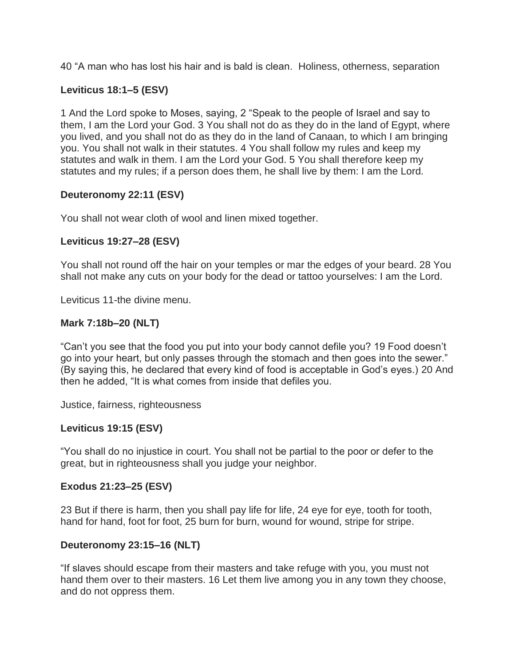40 "A man who has lost his hair and is bald is clean. Holiness, otherness, separation

## **Leviticus 18:1–5 (ESV)**

1 And the Lord spoke to Moses, saying, 2 "Speak to the people of Israel and say to them, I am the Lord your God. 3 You shall not do as they do in the land of Egypt, where you lived, and you shall not do as they do in the land of Canaan, to which I am bringing you. You shall not walk in their statutes. 4 You shall follow my rules and keep my statutes and walk in them. I am the Lord your God. 5 You shall therefore keep my statutes and my rules; if a person does them, he shall live by them: I am the Lord.

### **Deuteronomy 22:11 (ESV)**

You shall not wear cloth of wool and linen mixed together.

### **Leviticus 19:27–28 (ESV)**

You shall not round off the hair on your temples or mar the edges of your beard. 28 You shall not make any cuts on your body for the dead or tattoo yourselves: I am the Lord.

Leviticus 11-the divine menu.

### **Mark 7:18b–20 (NLT)**

"Can't you see that the food you put into your body cannot defile you? 19 Food doesn't go into your heart, but only passes through the stomach and then goes into the sewer." (By saying this, he declared that every kind of food is acceptable in God's eyes.) 20 And then he added, "It is what comes from inside that defiles you.

Justice, fairness, righteousness

### **Leviticus 19:15 (ESV)**

"You shall do no injustice in court. You shall not be partial to the poor or defer to the great, but in righteousness shall you judge your neighbor.

### **Exodus 21:23–25 (ESV)**

23 But if there is harm, then you shall pay life for life, 24 eye for eye, tooth for tooth, hand for hand, foot for foot, 25 burn for burn, wound for wound, stripe for stripe.

## **Deuteronomy 23:15–16 (NLT)**

"If slaves should escape from their masters and take refuge with you, you must not hand them over to their masters. 16 Let them live among you in any town they choose, and do not oppress them.